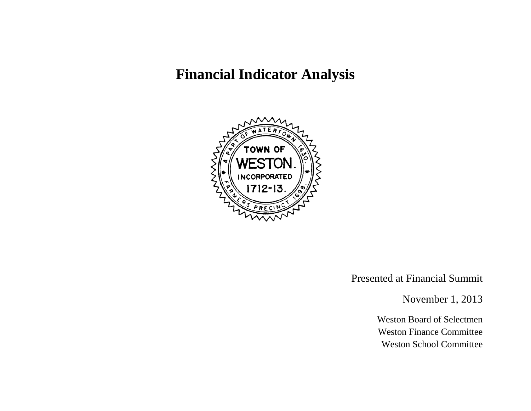# **Financial Indicator Analysis**



Presented at Financial Summit

November 1, 2013

Weston Board of Selectmen Weston Finance Committee Weston School Committee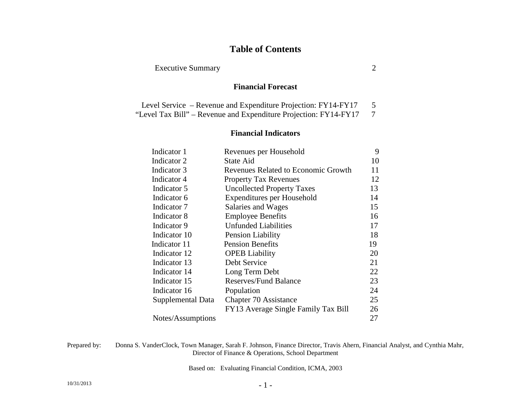### **Table of Contents**

#### Executive Summary 2

#### **Financial Forecast**

| Level Service – Revenue and Expenditure Projection: FY14-FY17    | 5 |
|------------------------------------------------------------------|---|
| "Level Tax Bill" – Revenue and Expenditure Projection: FY14-FY17 |   |

#### **Financial Indicators**

| Revenues per Household              | 9  |
|-------------------------------------|----|
| <b>State Aid</b>                    | 10 |
| Revenues Related to Economic Growth | 11 |
| <b>Property Tax Revenues</b>        | 12 |
| <b>Uncollected Property Taxes</b>   | 13 |
| Expenditures per Household          | 14 |
| Salaries and Wages                  | 15 |
| <b>Employee Benefits</b>            | 16 |
| <b>Unfunded Liabilities</b>         | 17 |
| Pension Liability                   | 18 |
| <b>Pension Benefits</b>             | 19 |
| <b>OPEB</b> Liability               | 20 |
| Debt Service                        | 21 |
| Long Term Debt                      | 22 |
| <b>Reserves/Fund Balance</b>        | 23 |
| Population                          | 24 |
| Chapter 70 Assistance               | 25 |
| FY13 Average Single Family Tax Bill | 26 |
|                                     | 27 |
|                                     |    |

Prepared by: Donna S. VanderClock, Town Manager, Sarah F. Johnson, Finance Director, Travis Ahern, Financial Analyst, and Cynthia Mahr, Director of Finance & Operations, School Department

Based on: Evaluating Financial Condition, ICMA, 2003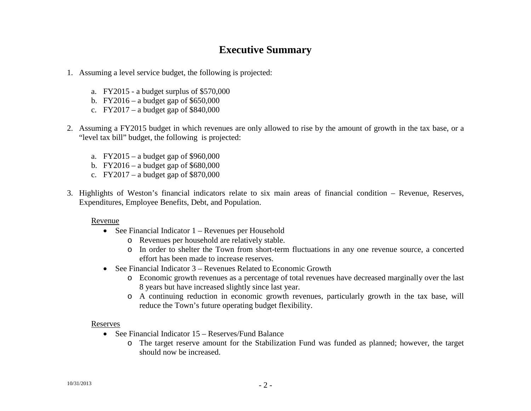# **Executive Summary**

- 1. Assuming a level service budget, the following is projected:
	- a. FY2015 a budget surplus of \$570,000
	- b. FY2016 a budget gap of \$650,000
	- c. FY2017 a budget gap of  $$840,000$
- 2. Assuming a FY2015 budget in which revenues are only allowed to rise by the amount of growth in the tax base, or a "level tax bill" budget, the following is projected:
	- a. FY2015 a budget gap of \$960,000
	- b. FY2016 a budget gap of \$680,000
	- c. FY2017 a budget gap of  $$870,000$
- 3. Highlights of Weston's financial indicators relate to six main areas of financial condition Revenue, Reserves, Expenditures, Employee Benefits, Debt, and Population.

#### Revenue

- See Financial Indicator 1 Revenues per Household
	- o Revenues per household are relatively stable.
	- o In order to shelter the Town from short-term fluctuations in any one revenue source, a concerted effort has been made to increase reserves.
- See Financial Indicator 3 Revenues Related to Economic Growth
	- o Economic growth revenues as a percentage of total revenues have decreased marginally over the last 8 years but have increased slightly since last year.
	- o A continuing reduction in economic growth revenues, particularly growth in the tax base, will reduce the Town's future operating budget flexibility.

#### Reserves

- See Financial Indicator 15 Reserves/Fund Balance
	- o The target reserve amount for the Stabilization Fund was funded as planned; however, the target should now be increased.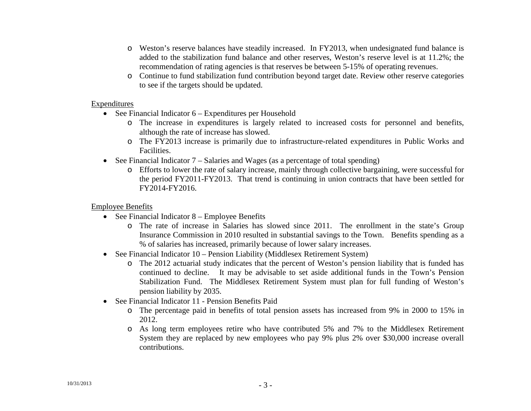- o Weston's reserve balances have steadily increased. In FY2013, when undesignated fund balance is added to the stabilization fund balance and other reserves, Weston's reserve level is at 11.2%; the recommendation of rating agencies is that reserves be between 5-15% of operating revenues.
- o Continue to fund stabilization fund contribution beyond target date. Review other reserve categories to see if the targets should be updated.

#### Expenditures

- See Financial Indicator 6 Expenditures per Household
	- o The increase in expenditures is largely related to increased costs for personnel and benefits, although the rate of increase has slowed.
	- o The FY2013 increase is primarily due to infrastructure-related expenditures in Public Works and Facilities.
- See Financial Indicator 7 Salaries and Wages (as a percentage of total spending)
	- o Efforts to lower the rate of salary increase, mainly through collective bargaining, were successful for the period FY2011-FY2013. That trend is continuing in union contracts that have been settled for FY2014-FY2016.

### Employee Benefits

- See Financial Indicator 8 Employee Benefits
	- o The rate of increase in Salaries has slowed since 2011. The enrollment in the state's Group Insurance Commission in 2010 resulted in substantial savings to the Town. Benefits spending as a % of salaries has increased, primarily because of lower salary increases.
- See Financial Indicator 10 Pension Liability (Middlesex Retirement System)
	- o The 2012 actuarial study indicates that the percent of Weston's pension liability that is funded has continued to decline. It may be advisable to set aside additional funds in the Town's Pension Stabilization Fund. The Middlesex Retirement System must plan for full funding of Weston's pension liability by 2035.
- See Financial Indicator 11 Pension Benefits Paid
	- o The percentage paid in benefits of total pension assets has increased from 9% in 2000 to 15% in 2012.
	- o As long term employees retire who have contributed 5% and 7% to the Middlesex Retirement System they are replaced by new employees who pay 9% plus 2% over \$30,000 increase overall contributions.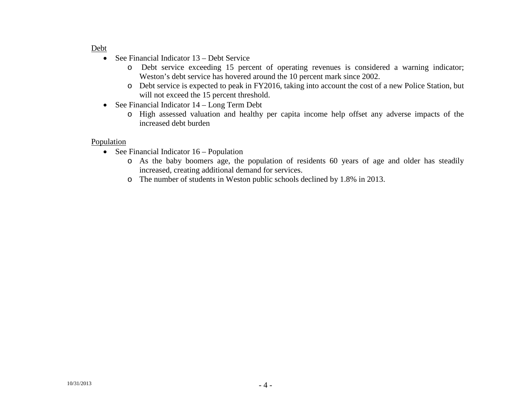#### Debt

- See Financial Indicator 13 Debt Service
	- o Debt service exceeding 15 percent of operating revenues is considered a warning indicator; Weston's debt service has hovered around the 10 percent mark since 2002.
	- o Debt service is expected to peak in FY2016, taking into account the cost of a new Police Station, but will not exceed the 15 percent threshold.
- See Financial Indicator 14 Long Term Debt
	- o High assessed valuation and healthy per capita income help offset any adverse impacts of the increased debt burden

#### Population

- See Financial Indicator 16 Population
	- o As the baby boomers age, the population of residents 60 years of age and older has steadily increased, creating additional demand for services.
	- o The number of students in Weston public schools declined by 1.8% in 2013.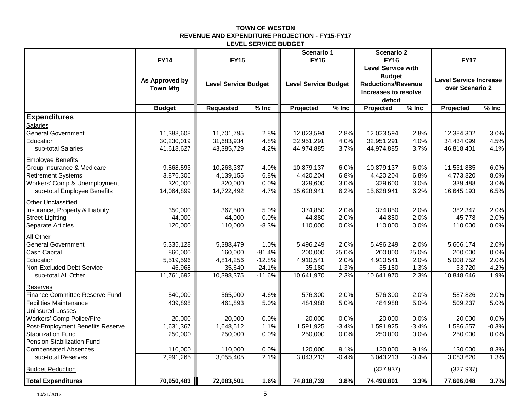#### **TOWN OF WESTON REVENUE AND EXPENDITURE PROJECTION - FY15-FY17 LEVEL SERVICE BUDGET**

|                                  |                 |                             |          | Scenario 1                  |         | <b>Scenario 2</b>                        |         |                               |         |
|----------------------------------|-----------------|-----------------------------|----------|-----------------------------|---------|------------------------------------------|---------|-------------------------------|---------|
|                                  | <b>FY14</b>     | <b>FY15</b>                 |          | <b>FY16</b>                 |         | <b>FY16</b><br><b>Level Service with</b> |         | <b>FY17</b>                   |         |
|                                  |                 |                             |          |                             |         | <b>Budget</b>                            |         |                               |         |
|                                  | As Approved by  | <b>Level Service Budget</b> |          | <b>Level Service Budget</b> |         | <b>Reductions/Revenue</b>                |         | <b>Level Service Increase</b> |         |
|                                  | <b>Town Mtg</b> |                             |          |                             |         | Increases to resolve                     |         | over Scenario 2               |         |
|                                  |                 |                             |          |                             |         | deficit                                  |         |                               |         |
|                                  | <b>Budget</b>   | <b>Requested</b>            | $%$ Inc  | Projected                   | $%$ Inc | Projected                                | $%$ Inc | Projected                     | $%$ Inc |
| <b>Expenditures</b>              |                 |                             |          |                             |         |                                          |         |                               |         |
| <b>Salaries</b>                  |                 |                             |          |                             |         |                                          |         |                               |         |
| <b>General Government</b>        | 11,388,608      | 11,701,795                  | 2.8%     | 12,023,594                  | 2.8%    | 12,023,594                               | 2.8%    | 12,384,302                    | 3.0%    |
| Education                        | 30,230,019      | 31,683,934                  | 4.8%     | 32,951,291                  | 4.0%    | 32,951,291                               | 4.0%    | 34,434,099                    | 4.5%    |
| sub-total Salaries               | 41,618,627      | 43,385,729                  | 4.2%     | 44,974,885                  | 3.7%    | 44,974,885                               | 3.7%    | 46,818,401                    | 4.1%    |
| <b>Employee Benefits</b>         |                 |                             |          |                             |         |                                          |         |                               |         |
| Group Insurance & Medicare       | 9,868,593       | 10,263,337                  | 4.0%     | 10,879,137                  | 6.0%    | 10,879,137                               | 6.0%    | 11,531,885                    | 6.0%    |
| <b>Retirement Systems</b>        | 3,876,306       | 4,139,155                   | 6.8%     | 4,420,204                   | 6.8%    | 4,420,204                                | 6.8%    | 4,773,820                     | 8.0%    |
| Workers' Comp & Unemployment     | 320,000         | 320,000                     | 0.0%     | 329,600                     | 3.0%    | 329,600                                  | 3.0%    | 339,488                       | 3.0%    |
| sub-total Employee Benefits      | 14,064,899      | 14,722,492                  | 4.7%     | 15,628,941                  | 6.2%    | 15,628,941                               | 6.2%    | 16,645,193                    | 6.5%    |
| <b>Other Unclassified</b>        |                 |                             |          |                             |         |                                          |         |                               |         |
| Insurance, Property & Liability  | 350,000         | 367,500                     | 5.0%     | 374,850                     | 2.0%    | 374,850                                  | 2.0%    | 382,347                       | 2.0%    |
| <b>Street Lighting</b>           | 44,000          | 44,000                      | 0.0%     | 44,880                      | 2.0%    | 44,880                                   | 2.0%    | 45,778                        | 2.0%    |
| Separate Articles                | 120,000         | 110,000                     | $-8.3%$  | 110,000                     | 0.0%    | 110,000                                  | 0.0%    | 110,000                       | 0.0%    |
| <b>All Other</b>                 |                 |                             |          |                             |         |                                          |         |                               |         |
| General Government               | 5,335,128       | 5,388,479                   | 1.0%     | 5,496,249                   | 2.0%    | 5,496,249                                | 2.0%    | 5,606,174                     | 2.0%    |
| Cash Capital                     | 860,000         | 160,000                     | $-81.4%$ | 200,000                     | 25.0%   | 200.000                                  | 25.0%   | 200.000                       | 0.0%    |
| Education                        | 5,519,596       | 4,814,256                   | $-12.8%$ | 4,910,541                   | 2.0%    | 4,910,541                                | 2.0%    | 5,008,752                     | 2.0%    |
| Non-Excluded Debt Service        | 46,968          | 35,640                      | $-24.1%$ | 35,180                      | $-1.3%$ | 35,180                                   | $-1.3%$ | 33,720                        | $-4.2%$ |
| sub-total All Other              | 11,761,692      | 10,398,375                  | $-11.6%$ | 10,641,970                  | 2.3%    | 10,641,970                               | 2.3%    | 10,848,646                    | 1.9%    |
| <b>Reserves</b>                  |                 |                             |          |                             |         |                                          |         |                               |         |
| Finance Committee Reserve Fund   | 540,000         | 565,000                     | 4.6%     | 576,300                     | 2.0%    | 576,300                                  | 2.0%    | 587,826                       | 2.0%    |
| <b>Facilities Maintenance</b>    | 439,898         | 461,893                     | 5.0%     | 484,988                     | 5.0%    | 484,988                                  | 5.0%    | 509,237                       | 5.0%    |
| <b>Uninsured Losses</b>          |                 |                             |          |                             |         |                                          |         |                               |         |
| <b>Workers' Comp Police/Fire</b> | 20,000          | 20,000                      | 0.0%     | 20,000                      | 0.0%    | 20,000                                   | 0.0%    | 20,000                        | 0.0%    |
| Post-Employment Benefits Reserve | 1,631,367       | 1,648,512                   | 1.1%     | 1,591,925                   | $-3.4%$ | 1,591,925                                | $-3.4%$ | 1,586,557                     | $-0.3%$ |
| <b>Stabilization Fund</b>        | 250,000         | 250,000                     | 0.0%     | 250,000                     | 0.0%    | 250,000                                  | 0.0%    | 250,000                       | 0.0%    |
| Pension Stabilization Fund       |                 |                             |          |                             |         |                                          |         |                               |         |
| <b>Compensated Absences</b>      | 110,000         | 110,000                     | 0.0%     | 120,000                     | 9.1%    | 120,000                                  | 9.1%    | 130,000                       | 8.3%    |
| sub-total Reserves               | 2,991,265       | 3,055,405                   | 2.1%     | 3,043,213                   | $-0.4%$ | 3,043,213                                | $-0.4%$ | 3,083,620                     | 1.3%    |
| <b>Budget Reduction</b>          |                 |                             |          |                             |         | (327, 937)                               |         | (327, 937)                    |         |
| <b>Total Expenditures</b>        | 70,950,483      | 72,083,501                  | 1.6%     | 74,818,739                  | 3.8%    | 74,490,801                               | 3.3%    | 77,606,048                    | 3.7%    |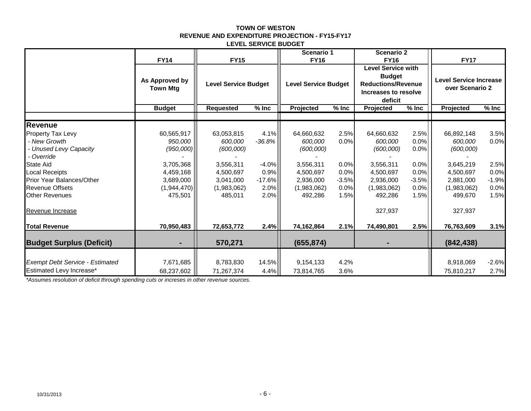#### **TOWN OF WESTON REVENUE AND EXPENDITURE PROJECTION - FY15-FY17 LEVEL SERVICE BUDGET**

|                                                                                                                 | <b>FY14</b>                                      | <b>FY15</b>                                      |                                  | Scenario 1<br><b>FY16</b>                        |                                 | <b>Scenario 2</b><br><b>FY16</b>                                                                           |                                 | <b>FY17</b>                                      |                                 |
|-----------------------------------------------------------------------------------------------------------------|--------------------------------------------------|--------------------------------------------------|----------------------------------|--------------------------------------------------|---------------------------------|------------------------------------------------------------------------------------------------------------|---------------------------------|--------------------------------------------------|---------------------------------|
|                                                                                                                 | As Approved by<br><b>Town Mtg</b>                | <b>Level Service Budget</b>                      |                                  | <b>Level Service Budget</b>                      |                                 | <b>Level Service with</b><br><b>Budget</b><br><b>Reductions/Revenue</b><br>Increases to resolve<br>deficit |                                 | <b>Level Service Increase</b><br>over Scenario 2 |                                 |
|                                                                                                                 | <b>Budget</b>                                    | <b>Requested</b>                                 | $%$ Inc                          | Projected                                        | $%$ Inc                         | Projected                                                                                                  | $\frac{1}{2}$ Inc               | Projected                                        | $%$ Inc                         |
|                                                                                                                 |                                                  |                                                  |                                  |                                                  |                                 |                                                                                                            |                                 |                                                  |                                 |
| <b>Revenue</b><br>Property Tax Levy<br>- New Growth<br>- Unused Levy Capacity<br>- Override<br><b>State Aid</b> | 60,565,917<br>950,000<br>(950,000)<br>3,705,368  | 63,053,815<br>600,000<br>(600,000)<br>3,556,311  | 4.1%<br>$-36.8%$<br>$-4.0%$      | 64,660,632<br>600,000<br>(600,000)<br>3,556,311  | 2.5%<br>0.0%<br>0.0%            | 64,660,632<br>600,000<br>(600,000)<br>3,556,311                                                            | 2.5%<br>0.0%<br>0.0%<br>0.0%    | 66,892,148<br>600,000<br>(600,000)<br>3,645,219  | 3.5%<br>0.0%<br>2.5%            |
| <b>Local Receipts</b><br>Prior Year Balances/Other<br><b>Revenue Offsets</b><br><b>Other Revenues</b>           | 4,459,168<br>3,689,000<br>(1,944,470)<br>475,501 | 4,500,697<br>3,041,000<br>(1,983,062)<br>485,011 | 0.9%<br>$-17.6%$<br>2.0%<br>2.0% | 4,500,697<br>2,936,000<br>(1,983,062)<br>492,286 | 0.0%<br>$-3.5%$<br>0.0%<br>1.5% | 4,500,697<br>2,936,000<br>(1,983,062)<br>492,286                                                           | 0.0%<br>$-3.5%$<br>0.0%<br>1.5% | 4,500,697<br>2,881,000<br>(1,983,062)<br>499,670 | 0.0%<br>$-1.9%$<br>0.0%<br>1.5% |
| Revenue Increase                                                                                                |                                                  |                                                  |                                  |                                                  |                                 | 327,937                                                                                                    |                                 | 327,937                                          |                                 |
| <b>Total Revenue</b>                                                                                            | 70,950,483                                       | 72,653,772                                       | 2.4%                             | 74,162,864                                       | 2.1%                            | 74,490,801                                                                                                 | 2.5%                            | 76,763,609                                       | 3.1%                            |
| <b>Budget Surplus (Deficit)</b>                                                                                 |                                                  | 570,271                                          |                                  | (655, 874)                                       |                                 |                                                                                                            |                                 | (842, 438)                                       |                                 |
| <b>Exempt Debt Service - Estimated</b><br>Estimated Levy Increase*                                              | 7,671,685<br>68,237,602                          | 8,783,830<br>71,267,374                          | 14.5%<br>4.4%                    | 9,154,133<br>73,814,765                          | 4.2%<br>3.6%                    |                                                                                                            |                                 | 8,918,069<br>75,810,217                          | $-2.6%$<br>2.7%                 |

*\*Assumes resolution of deficit through spending cuts or increses in other revenue sources.*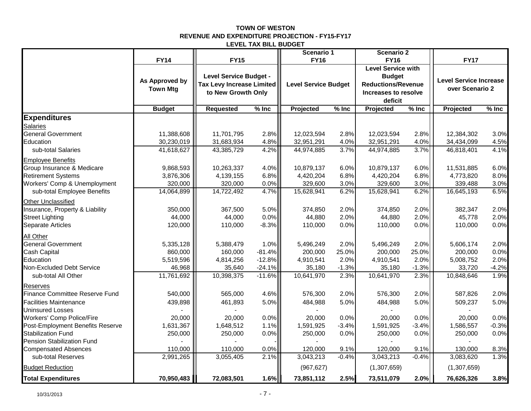#### **TOWN OF WESTON REVENUE AND EXPENDITURE PROJECTION - FY15-FY17 LEVEL TAX BILL BUDGET**

|                                                   |                 |                                  | Scenario 1 |                             | <b>Scenario 2</b> |                           |         |                        |         |
|---------------------------------------------------|-----------------|----------------------------------|------------|-----------------------------|-------------------|---------------------------|---------|------------------------|---------|
|                                                   | <b>FY14</b>     | <b>FY15</b>                      |            | <b>FY16</b>                 |                   | <b>FY16</b>               |         | <b>FY17</b>            |         |
|                                                   |                 |                                  |            |                             |                   | <b>Level Service with</b> |         |                        |         |
|                                                   |                 | Level Service Budget -           |            |                             |                   | <b>Budget</b>             |         |                        |         |
|                                                   | As Approved by  | <b>Tax Levy Increase Limited</b> |            | <b>Level Service Budget</b> |                   | <b>Reductions/Revenue</b> |         | Level Service Increase |         |
|                                                   | <b>Town Mtg</b> | to New Growth Only               |            |                             |                   | Increases to resolve      |         | over Scenario 2        |         |
|                                                   |                 |                                  |            |                             |                   | deficit                   |         |                        |         |
|                                                   | <b>Budget</b>   | <b>Requested</b>                 | $%$ Inc    | Projected                   | $%$ Inc           | Projected                 | $%$ Inc | Projected              | $%$ Inc |
| <b>Expenditures</b>                               |                 |                                  |            |                             |                   |                           |         |                        |         |
| <b>Salaries</b>                                   |                 |                                  |            |                             |                   |                           |         |                        |         |
| <b>General Government</b>                         | 11,388,608      | 11,701,795                       | 2.8%       | 12,023,594                  | 2.8%              | 12,023,594                | 2.8%    | 12,384,302             | 3.0%    |
| Education                                         | 30,230,019      | 31,683,934                       | 4.8%       | 32,951,291                  | 4.0%              | 32,951,291                | 4.0%    | 34,434,099             | 4.5%    |
| sub-total Salaries                                | 41,618,627      | 43,385,729                       | 4.2%       | 44,974,885                  | 3.7%              | 44,974,885                | 3.7%    | 46,818,401             | 4.1%    |
| <b>Employee Benefits</b>                          |                 |                                  |            |                             |                   |                           |         |                        |         |
| Group Insurance & Medicare                        | 9,868,593       | 10,263,337                       | 4.0%       | 10,879,137                  | 6.0%              | 10,879,137                | 6.0%    | 11,531,885             | 6.0%    |
| <b>Retirement Systems</b>                         | 3,876,306       | 4,139,155                        | 6.8%       | 4,420,204                   | 6.8%              | 4,420,204                 | 6.8%    | 4,773,820              | 8.0%    |
| Workers' Comp & Unemployment                      | 320,000         | 320,000                          | 0.0%       | 329,600                     | 3.0%              | 329,600                   | 3.0%    | 339,488                | 3.0%    |
| sub-total Employee Benefits                       | 14,064,899      | 14,722,492                       | 4.7%       | 15,628,941                  | 6.2%              | 15,628,941                | 6.2%    | 16,645,193             | 6.5%    |
| Other Unclassified                                |                 |                                  |            |                             |                   |                           |         |                        |         |
| Insurance, Property & Liability                   | 350,000         | 367,500                          | 5.0%       | 374,850                     | 2.0%              | 374,850                   | 2.0%    | 382,347                | 2.0%    |
| <b>Street Lighting</b>                            | 44,000          | 44,000                           | 0.0%       | 44,880                      | 2.0%              | 44,880                    | 2.0%    | 45,778                 | 2.0%    |
| Separate Articles                                 | 120,000         | 110,000                          | $-8.3%$    | 110,000                     | 0.0%              | 110,000                   | 0.0%    | 110,000                | 0.0%    |
| All Other                                         |                 |                                  |            |                             |                   |                           |         |                        |         |
| <b>General Government</b>                         | 5,335,128       | 5,388,479                        | 1.0%       | 5,496,249                   | 2.0%              | 5,496,249                 | 2.0%    | 5,606,174              | 2.0%    |
| Cash Capital                                      | 860,000         | 160,000                          | $-81.4%$   | 200,000                     | 25.0%             | 200,000                   | 25.0%   | 200,000                | 0.0%    |
| Education                                         | 5,519,596       | 4,814,256                        | $-12.8%$   | 4,910,541                   | 2.0%              | 4,910,541                 | 2.0%    | 5,008,752              | 2.0%    |
| Non-Excluded Debt Service                         | 46,968          | 35,640                           | $-24.1%$   | 35,180                      | $-1.3%$           | 35,180                    | $-1.3%$ | 33,720                 | $-4.2%$ |
| sub-total All Other                               | 11,761,692      | 10,398,375                       | $-11.6%$   | 10,641,970                  | 2.3%              | 10,641,970                | 2.3%    | 10,848,646             | 1.9%    |
| Reserves<br><b>Finance Committee Reserve Fund</b> | 540,000         | 565,000                          | 4.6%       | 576,300                     | 2.0%              | 576,300                   | 2.0%    | 587,826                | 2.0%    |
| Facilities Maintenance                            | 439,898         |                                  |            |                             |                   |                           |         |                        |         |
|                                                   |                 | 461,893                          | 5.0%       | 484,988                     | 5.0%              | 484,988                   | 5.0%    | 509,237                | 5.0%    |
| <b>Uninsured Losses</b>                           |                 |                                  |            |                             |                   |                           |         |                        |         |
| <b>Workers' Comp Police/Fire</b>                  | 20,000          | 20,000                           | 0.0%       | 20,000                      | 0.0%              | 20,000                    | 0.0%    | 20,000                 | 0.0%    |
| Post-Employment Benefits Reserve                  | 1,631,367       | 1,648,512                        | 1.1%       | 1,591,925                   | $-3.4%$           | 1,591,925                 | $-3.4%$ | 1,586,557              | $-0.3%$ |
| Stabilization Fund                                | 250,000         | 250,000                          | 0.0%       | 250,000                     | 0.0%              | 250,000                   | 0.0%    | 250,000                | 0.0%    |
| <b>Pension Stabilization Fund</b>                 |                 |                                  |            |                             |                   |                           |         |                        |         |
| <b>Compensated Absences</b>                       | 110,000         | 110,000                          | 0.0%       | 120,000                     | 9.1%              | 120,000                   | 9.1%    | 130,000                | 8.3%    |
| sub-total Reserves                                | 2,991,265       | 3,055,405                        | 2.1%       | 3,043,213                   | $-0.4%$           | 3,043,213                 | $-0.4%$ | 3,083,620              | 1.3%    |
| <b>Budget Reduction</b>                           |                 |                                  |            | (967, 627)                  |                   | (1,307,659)               |         | (1,307,659)            |         |
| <b>Total Expenditures</b>                         | 70,950,483      | 72,083,501                       | 1.6%       | 73,851,112                  | 2.5%              | 73,511,079                | 2.0%    | 76,626,326             | 3.8%    |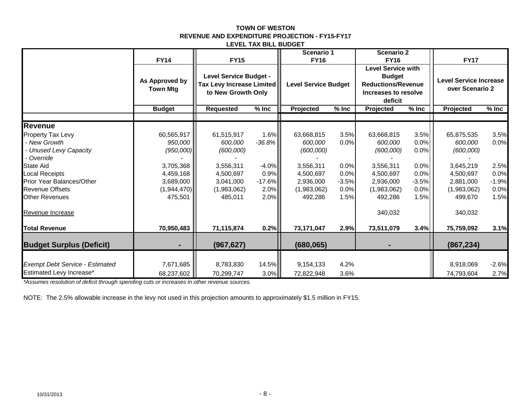#### **TOWN OF WESTON REVENUE AND EXPENDITURE PROJECTION - FY15-FY17 LEVEL TAX BILL BUDGET**

|                                                                                                                                                                                                        | <b>FY14</b>                                                                                         | <b>FY15</b>                                                                                         |                                                                 | Scenario 1<br><b>FY16</b>                                                                           |                                                         | <b>Scenario 2</b><br><b>FY16</b>                                                                           |                                                                 | <b>FY17</b>                                                                                         |                                                         |
|--------------------------------------------------------------------------------------------------------------------------------------------------------------------------------------------------------|-----------------------------------------------------------------------------------------------------|-----------------------------------------------------------------------------------------------------|-----------------------------------------------------------------|-----------------------------------------------------------------------------------------------------|---------------------------------------------------------|------------------------------------------------------------------------------------------------------------|-----------------------------------------------------------------|-----------------------------------------------------------------------------------------------------|---------------------------------------------------------|
|                                                                                                                                                                                                        | As Approved by<br><b>Town Mtg</b>                                                                   | <b>Level Service Budget -</b><br>Tax Levy Increase Limited<br>to New Growth Only                    |                                                                 | <b>Level Service Budget</b>                                                                         |                                                         | <b>Level Service with</b><br><b>Budget</b><br><b>Reductions/Revenue</b><br>Increases to resolve<br>deficit |                                                                 | <b>Level Service Increase</b><br>over Scenario 2                                                    |                                                         |
|                                                                                                                                                                                                        | <b>Budget</b>                                                                                       | <b>Requested</b>                                                                                    | $%$ Inc                                                         | Projected                                                                                           | $%$ Inc                                                 | Projected                                                                                                  | $%$ Inc                                                         | Projected                                                                                           | $%$ Inc                                                 |
| Revenue                                                                                                                                                                                                |                                                                                                     |                                                                                                     |                                                                 |                                                                                                     |                                                         |                                                                                                            |                                                                 |                                                                                                     |                                                         |
| Property Tax Levy<br>- New Growth<br>- Unused Levy Capacity<br>- Override<br><b>State Aid</b><br><b>Local Receipts</b><br>Prior Year Balances/Other<br><b>Revenue Offsets</b><br><b>Other Revenues</b> | 60,565,917<br>950,000<br>(950,000)<br>3,705,368<br>4,459,168<br>3,689,000<br>(1,944,470)<br>475,501 | 61,515,917<br>600,000<br>(600,000)<br>3,556,311<br>4,500,697<br>3,041,000<br>(1,983,062)<br>485,011 | 1.6%<br>$-36.8%$<br>$-4.0%$<br>0.9%<br>$-17.6%$<br>2.0%<br>2.0% | 63,668,815<br>600,000<br>(600,000)<br>3,556,311<br>4,500,697<br>2,936,000<br>(1,983,062)<br>492,286 | 3.5%<br>0.0%<br>0.0%<br>0.0%<br>$-3.5%$<br>0.0%<br>1.5% | 63,668,815<br>600,000<br>(600,000)<br>3,556,311<br>4,500,697<br>2,936,000<br>(1,983,062)<br>492,286        | 3.5%<br>0.0%<br>0.0%<br>0.0%<br>0.0%<br>$-3.5%$<br>0.0%<br>1.5% | 65,875,535<br>600,000<br>(600,000)<br>3,645,219<br>4,500,697<br>2,881,000<br>(1,983,062)<br>499,670 | 3.5%<br>0.0%<br>2.5%<br>0.0%<br>$-1.9%$<br>0.0%<br>1.5% |
| Revenue Increase                                                                                                                                                                                       |                                                                                                     |                                                                                                     |                                                                 |                                                                                                     |                                                         | 340,032                                                                                                    |                                                                 | 340,032                                                                                             |                                                         |
| <b>Total Revenue</b>                                                                                                                                                                                   | 70,950,483                                                                                          | 71,115,874                                                                                          | 0.2%                                                            | 73,171,047                                                                                          | 2.9%                                                    | 73,511,079                                                                                                 | 3.4%                                                            | 75,759,092                                                                                          | 3.1%                                                    |
| <b>Budget Surplus (Deficit)</b>                                                                                                                                                                        |                                                                                                     | (967, 627)                                                                                          |                                                                 | (680, 065)                                                                                          |                                                         |                                                                                                            |                                                                 | (867, 234)                                                                                          |                                                         |
| <b>Exempt Debt Service - Estimated</b><br>Estimated Levy Increase*                                                                                                                                     | 7,671,685<br>68,237,602                                                                             | 8,783,830<br>70,299,747                                                                             | 14.5%<br>3.0%                                                   | 9,154,133<br>72,822,948                                                                             | 4.2%<br>3.6%                                            |                                                                                                            |                                                                 | 8,918,069<br>74,793,604                                                                             | $-2.6%$<br>2.7%                                         |

*\*Assumes resolution of deficit through spending cuts or increases in other revenue sources.*

NOTE: The 2.5% allowable increase in the levy not used in this projection amounts to approximately \$1.5 million in FY15.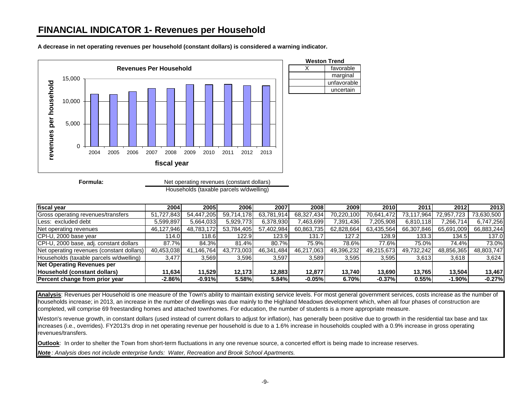## **FINANCIAL INDICATOR 1- Revenues per Household**

**A decrease in net operating revenues per household (constant dollars) is considered a warning indicator.**



**Formula:** Households (taxable parcels w/dwelling) Net operating revenues (constant dollars)

| fiscal year                               | 2004       | 2005l          | 2006       | 2007       | <b>2008</b> | 2009 l     | 2010       | 2011       | 2012       | 2013       |
|-------------------------------------------|------------|----------------|------------|------------|-------------|------------|------------|------------|------------|------------|
| Gross operating revenues/transfers        | 51,727,843 | 54,447,205     | 59,714,178 | 63,781,914 | 68,327,434  | 70,220,100 | 70.641.472 | 73,117,964 | 72.957.723 | 73,630,500 |
| Less: excluded debt                       | 5,599,897  | 5,664,033      | 5,929,773  | 6,378,930  | 463,699     | 7,391,436  | 205,908    | 6,810,118  | 7,266,714  | 6,747,256  |
| Net operating revenues                    | 46,127,946 | 48,783,172     | 53,784,405 | 57,402,984 | 60,863,735  | 62,828,664 | 63,435,564 | 66,307,846 | 65,691,009 | 66,883,244 |
| CPI-U, 2000 base year                     | 114.0      | 118.6          | 122.9      | 123.9      | 131.7       | 127.2      | 128.9      | 133.3      | 134.5      | 137.0      |
| CPI-U, 2000 base, adj. constant dollars   | 87.7%      | 84.3%          | 81.4%      | 80.7%      | 75.9%       | 78.6%      | 77.6%      | 75.0%      | 74.4%      | 73.0%      |
| Net operating revenues (constant dollars) | 40,453,038 | .146.764<br>41 | 43.773.003 | 46,341,484 | 46,217,063  | 49,396,232 | 49,215,673 | 49,732,242 | 48,856,365 | 48,803,747 |
| Households (taxable parcels w/dwelling)   | 3,477      | 3.569          | 3,596      | 3,597      | 3.589       | 3,595      | 3,595      | 3,613      | 3,618      | 3,624      |
| <b>Net Operating Revenues per</b>         |            |                |            |            |             |            |            |            |            |            |
| Household (constant dollars)              | 11.634     | 11.529         | 12.173     | 12,883     | 12.877      | 13.740     | 13,690     | 13.765     | 13.504     | 13,467     |
| Percent change from prior year            | $-2.86%$   | $-0.91%$       | 5.58%      | 5.84%      | $-0.05%$    | 6.70%      | $-0.37%$   | 0.55%      | $-1.90\%$  | $-0.27%$   |

**Analysis**: Revenues per Household is one measure of the Town's ability to maintain existing service levels. For most general government services, costs increase as the number of households increase; in 2013, an increase in the number of dwellings was due mainly to the Highland Meadows development which, when all four phases of construction are completed, will comprise 69 freestanding homes and attached townhomes. For education, the number of students is a more appropriate measure.

Weston's revenue growth, in constant dollars (used instead of current dollars to adjust for inflation), has generally been positive due to growth in the residential tax base and tax increases (i.e., overrides). FY2013's drop in net operating revenue per household is due to a 1.6% increase in households coupled with a 0.9% increase in gross operating revenues/transfers.

**Outlook**: In order to shelter the Town from short-term fluctuations in any one revenue source, a concerted effort is being made to increase reserves.

*Note : Analysis does not include enterprise funds: Water, Recreation and Brook School Apartments.*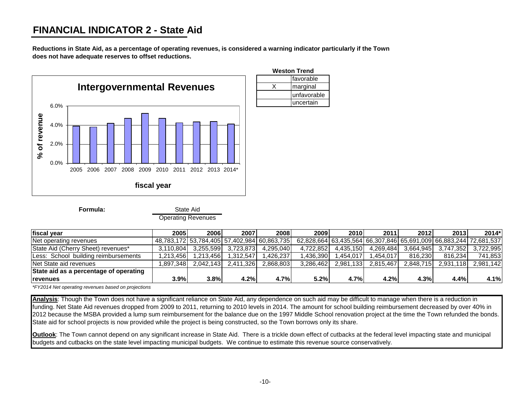# **FINANCIAL INDICATOR 2 - State Aid**

**Reductions in State Aid, as a percentage of operating revenues, is considered a warning indicator particularly if the Town does not have adequate reserves to offset reductions.**



State Aid

Operating Revenues

| fiscal year                            | 2005      | 2006                                        | 2007      | 2008      | 2009      | 2010                                                              | 2011      | 2012      | 2013      | $2014*$   |
|----------------------------------------|-----------|---------------------------------------------|-----------|-----------|-----------|-------------------------------------------------------------------|-----------|-----------|-----------|-----------|
| Net operating revenues                 |           | 48.783.172 53.784.405 57.402.984 60.863.735 |           |           |           | 62,828,664 63,435,564 66,307,846 65,691,009 66,883,244 72,681,537 |           |           |           |           |
| State Aid (Cherry Sheet) revenues*     | 3.110.804 | 3.255.599                                   | 3.723.873 | 4.295.040 | 4.722.852 | 4.435.150                                                         | .269.484  | 3.664.945 | 3.747.352 | 3.722.995 |
| Less: School building reimbursements   | .213.4561 | .213.4561                                   | .312.547  | .426.237  | .436.390  | .454.017                                                          | .454.017  | 816.230   | 816.234   | 741.853   |
| Net State aid revenues                 | .897.348  | 2.042.143                                   | 2.411.326 | 2.868.803 | 3.286.462 | 2.981.133                                                         | 2.815.467 | 2.848.715 | 2.931.118 | 2.981.142 |
| State aid as a percentage of operating |           |                                             |           |           |           |                                                                   |           |           |           |           |
| <b>Irevenues</b>                       | 3.9%      | 3.8%                                        | 4.2%      | 4.7%      | 5.2%      | 4.7%                                                              | 4.2%      | 4.3%      | 4.4%      | 4.1%      |

favorable

unfavorable uncertain

*\*FY2014 Net operating revenues based on projections*

**Formula:**

**Analysis**: Though the Town does not have a significant reliance on State Aid, any dependence on such aid may be difficult to manage when there is a reduction in funding. Net State Aid revenues dropped from 2009 to 2011, returning to 2010 levels in 2014. The amount for school building reimbursement decreased by over 40% in 2012 because the MSBA provided a lump sum reimbursement for the balance due on the 1997 Middle School renovation project at the time the Town refunded the bonds. State aid for school projects is now provided while the project is being constructed, so the Town borrows only its share.

**Outlook**: The Town cannot depend on any significant increase in State Aid. There is a trickle down effect of cutbacks at the federal level impacting state and municipal budgets and cutbacks on the state level impacting municipal budgets. We continue to estimate this revenue source conservatively.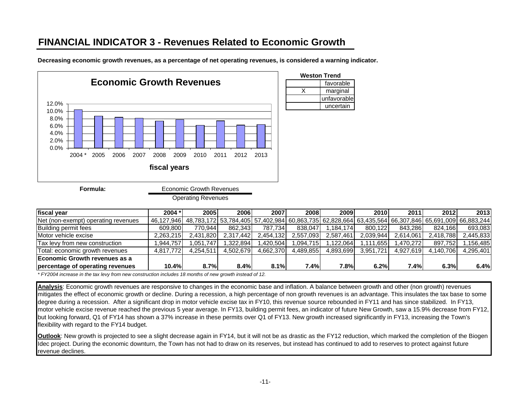# **FINANCIAL INDICATOR 3 - Revenues Related to Economic Growth**



**Decreasing economic growth revenues, as a percentage of net operating revenues, is considered a warning indicator.**

| Weston Trend |
|--------------|
| favorable    |
| marginal     |
| unfavorable  |
| uncertain    |

**fiscal year 2004 \* 2005 2006 2007 2008 2009 2010 2011 2012 2013** Net (non-exempt) operating revenues 46,127,946 48,783,172 53,784,405 57,402,984 60,863,735 62,828,664 63,435,564 66,307,846 65,691,009 66,883,244 Building permit fees | 609,800| 770,944| 862,343| 787,734| 838,047| 1,184,174| 800,122| 843,286| 824,166| 693,083 Motor vehicle excise 2,263,215 2,431,820 2,317,442 2,454,132 2,557,093 2,587,461 2,039,944 2,614,061 2,418,788 2,445,833 Tax levy from new construction 1,944,757 1,051,747 1,322,894 1,420,504 1,094,715 1,122,064 1,111,655 1,470,272 897,752 1,156,485<br>Total: economic growth revenues 4,817,772 4,254,511 4,502,679 4,662,370 4,489,855 4,893,699 3 Total: economic growth revenues 4,817,772 4,254,511 4,502,679 4,662,370 4,489,855 4,893,699 3,951,721 4,927,619 4,140,706 4,295,401 **Economic Growth revenues as a percentage of operating revenues 10.4% 8.7% 8.4% 8.1% 7.4% 7.8% 6.2% 7.4% 6.3% 6.4%**

*\* FY2004 increase in the tax levy from new construction includes 18 months of new growth instead of 12.*

**Analysis**: Economic growth revenues are responsive to changes in the economic base and inflation. A balance between growth and other (non growth) revenues mitigates the effect of economic growth or decline. During a recession, a high percentage of non growth revenues is an advantage. This insulates the tax base to some degree during a recession. After a significant drop in motor vehicle excise tax in FY10, this revenue source rebounded in FY11 and has since stabilized. In FY13, motor vehicle excise revenue reached the previous 5 year average. In FY13, building permit fees, an indicator of future New Growth, saw a 15.9% decrease from FY12, but looking forward, Q1 of FY14 has shown a 37% increase in these permits over Q1 of FY13. New growth increased significantly in FY13, increasing the Town's flexibility with regard to the FY14 budget.

**Outlook**: New growth is projected to see a slight decrease again in FY14, but it will not be as drastic as the FY12 reduction, which marked the completion of the Biogen Idec project. During the economic downturn, the Town has not had to draw on its reserves, but instead has continued to add to reserves to protect against future revenue declines.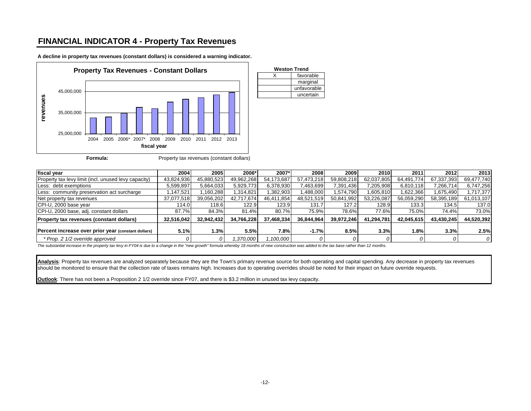### **FINANCIAL INDICATOR 4 - Property Tax Revenues**



**A decline in property tax revenues (constant dollars) is considered a warning indicator.**

| <b>Weston Trend</b> |
|---------------------|
| favorable           |
| marginal            |
| unfavorable         |
| uncertain           |
|                     |

**Formula:** Property tax revenues (constant dollars)

| fiscal year                                          | 2004       | 2005       | 2006*      | 2007*      | 2008       | 2009       | 2010       | 2011       | 2012       | 2013       |
|------------------------------------------------------|------------|------------|------------|------------|------------|------------|------------|------------|------------|------------|
| Property tax levy limit (incl. unused levy capacity) | 43,824,936 | 45,880,523 | 49,962,268 | 54,173,687 | 57,473,218 | 59,808,218 | 62.037.805 | 64.491.774 | 67,337,393 | 69,477,740 |
| Less: debt exemptions                                | 5,599,897  | 5,664,033  | 5,929,773  | 6,378,930  | 7,463,699  | 7,391,436  | 7,205,908  | 6,810,118  | 7,266,714  | 6,747,256  |
| Less: community preservation act surcharge           | .147.521   | 160,288    | 1.314.821  | ,382,903   | ,488,000   | 1,574,790  | ,605,810   | .622.366   | 1.675.490  | 1,717,377  |
| Net property tax revenues                            | 37,077,518 | 39,056,202 | 42,717,674 | 46,411,854 | 48,521,519 | 50,841,992 | 53.226.087 | 56,059,290 | 58,395,189 | 61,013,107 |
| CPI-U, 2000 base year                                | 114.0      | 118.6      | 122.9      | 123.9      | 131.7      | 127.2      | 128.9      | 133.31     | 134.5      | 137.0      |
| CPI-U, 2000 base, adj. constant dollars              | 87.7%      | 84.3%      | 81.4%      | 80.7%      | 75.9%      | 78.6%      | 77.6%      | 75.0%      | 74.4%      | 73.0%      |
| <b>Property tax revenues (constant dollars)</b>      | 32,516,042 | 32,942,432 | 34,766,228 | 37,468,334 | 36,844,964 | 39,972,246 | 41,294,781 | 42,045,615 | 43,430,245 | 44,520,392 |
| Percent increase over prior year (constant dollars)  | 5.1%       | 1.3%       | 5.5%       | 7.8%       | $-1.7%$    | 8.5%       | 3.3%       | 1.8%       | 3.3%       | 2.5%       |
| * Prop. 2 1/2 override approved                      |            |            | .370.000   | .100,000   |            |            |            |            |            |            |

*The substantial increase in the property tax levy in FY04 is due to a change in the "new growth" formula whereby 18 months of new construction was added to the tax base rather than 12 months.*

**Analysis**: Property tax revenues are analyzed separately because they are the Town's primary revenue source for both operating and capital spending. Any decrease in property tax revenues should be monitored to ensure that the collection rate of taxes remains high. Increases due to operating overrides should be noted for their impact on future override requests.

**Outlook**: There has not been a Proposition 2 1/2 override since FY07, and there is \$3.2 million in unused tax levy capacity.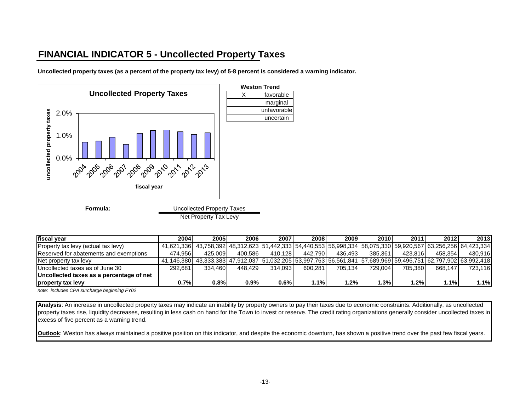# **FINANCIAL INDICATOR 5 - Uncollected Property Taxes**

**Uncollected property taxes (as a percent of the property tax levy) of 5-8 percent is considered a warning indicator.**



Net Property Tax Levy

| fiscal year                              | 2004    | 2005                                                                                                                   | 2006    | 2007    | 2008    | 20091   | <b>2010</b> | 2011    | 2012    | 2013    |
|------------------------------------------|---------|------------------------------------------------------------------------------------------------------------------------|---------|---------|---------|---------|-------------|---------|---------|---------|
| Property tax levy (actual tax levy)      |         | 41,621,336  43,758,392  48,312,623  51,442,333  54,440,553  56,998,334  58,075,330  59,920,567  63,256,256  64,423,334 |         |         |         |         |             |         |         |         |
| Reserved for abatements and exemptions   | 474.956 | 425.009                                                                                                                | 400.586 | 410.128 | 442.790 | 436.493 | 385.361     | 423.816 | 458.354 | 430.916 |
| Net property tax levy                    |         | 41,146,380 43,333,383 47,912,037 51,032,205 53,997,763 56,561,841 57,689,969 59,496,751 62,797,902 63,992,418          |         |         |         |         |             |         |         |         |
| Uncollected taxes as of June 30          | 292.681 | 334.460                                                                                                                | 448.429 | 314.093 | 600.281 | 705.134 | 729.004     | 705.380 | 668.147 | 723.116 |
| Uncollected taxes as a percentage of net |         |                                                                                                                        |         |         |         |         |             |         |         |         |
| property tax levy                        | 0.7%l   | 0.8%                                                                                                                   | 0.9%    | 0.6%    | $.1\%$  | $1.2\%$ | $1.3\%$     | .2%     | 1.1%    | 1.1%    |

*note: includes CPA surcharge beginning FY02*

**Analysis**: An increase in uncollected property taxes may indicate an inability by property owners to pay their taxes due to economic constraints. Additionally, as uncollected property taxes rise, liquidity decreases, resulting in less cash on hand for the Town to invest or reserve. The credit rating organizations generally consider uncollected taxes in excess of five percent as a warning trend.

**Outlook**: Weston has always maintained a positive position on this indicator, and despite the economic downturn, has shown a positive trend over the past few fiscal years.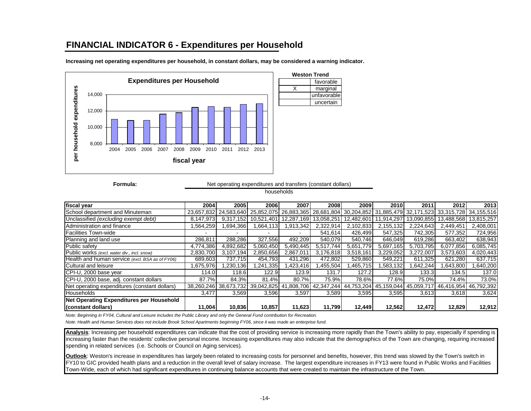### **FINANCIAL INDICATOR 6 - Expenditures per Household**



**Increasing net operating expenditures per household, in constant dollars, may be considered a warning indicator.**

**Formula:**

Net operating expenditures and transfers (constant dollars)

favorable

unfavorable uncertain

households

| fiscal year                                     | 2004       | 2005                             | 2006                 | 2007            | 2008       | 2009                                                                                               | 2010                    | 2011       | 2012                  | 2013      |
|-------------------------------------------------|------------|----------------------------------|----------------------|-----------------|------------|----------------------------------------------------------------------------------------------------|-------------------------|------------|-----------------------|-----------|
| School department and Minuteman                 | 23.657.832 |                                  |                      |                 |            | 24,583,640 25,852,075 26,883,365 28,681,804 30,204,852 31,885,479 32,171,523 33,315,728 34,155,516 |                         |            |                       |           |
| Unclassified (excluding exempt debt)            | 8,147,973  |                                  | 9.317.152 10.521.401 | 12.287.169      | 13,058,251 | 12.482.601                                                                                         | 11.914.297              | 13.090.855 | 13.488.568 13.815.257 |           |
| Administration and finance                      | .564,259   | 694,366                          | 1.664.113            | 1,913,342       | 2,322,914  | 2,102,833                                                                                          | 2,155,132               | 2,224,643  | 2,449,451             | 2,408,001 |
| <b>Facilities Town-wide</b>                     |            |                                  |                      |                 | 541.614    | 426.499                                                                                            | 547.325                 | 742.305    | 577,352               | 724,956   |
| Planning and land use                           | 286,811    | 288.286                          | 327.556              | 492.209         | 540.079    | 540.746                                                                                            | 646.049                 | 619.286    | 663.402               | 638,943   |
| Public safety                                   | 4,774,386  | 4,892,682                        | 5,060,450            | 5,490,445       | 5.517.744  | .779<br>5.651                                                                                      | 5,697,165               | 5,703,795  | 6,077,856             | 6,085,745 |
| Public works (excl. water div., incl. snow)     | 2,830,700  | 3,107,194                        | 2,850,656            | 2,867,011       | 3,176,818  | 3,518,161                                                                                          | 3,229,052               | 3,272,007  | 3,573,603             | 4,020,443 |
| Health and human service (excl. BSA as of FY06) | 689,603    | 737.715                          | 454,793              | 431,296         | 472,802    | 529,860                                                                                            | 549,221                 | 611,325    | 621,280               | 637,715   |
| Cultural and leisure                            | 1,675,976  | .230.136                         | ,241,335             | ,423,416        | .455.504   | .465.715                                                                                           | .583.132                | 1,642,244  | .643,800              | 640,200   |
| CPI-U, 2000 base year                           | 114.0      | 118.6                            | 122.9                | 123.9           | 131.7      | 127.2                                                                                              | 128.9                   | 133.3      | 134.5                 | 137.0     |
| CPI-U, 2000 base, adj. constant dollars         | 87.7%      | 84.3%                            | 81.4%                | 80.7%           | 75.9%      | 78.6%                                                                                              | 77.6%                   | 75.0%      | 74.4%                 | 73.0%     |
| Net operating expenditures (constant dollars)   |            | 38,260,246 38,673,732 39,042,825 |                      | .808.706<br>-41 |            | 42,347,244 44,753,204                                                                              | 45,159,044   45,059,717 |            | 46,416,954 46,792,392 |           |
| <b>Households</b>                               | 3,477      | 3,569                            | 3,596                | 3,597           | 3,589      | 3,595                                                                                              | 3,595                   | 3,613      | 3,618                 | 3,624     |
| Net Operating Expenditures per Household        |            |                                  |                      |                 |            |                                                                                                    |                         |            |                       |           |
| (constant dollars)                              | 11.004     | 10,836                           | 10.857               | 11.623          | 11.799     | 12.449                                                                                             | 12.562                  | 12.472     | 12,829                | 12,912    |

*Note: Beginning in FY04, Cultural and Leisure includes the Public Library and only the General Fund contribution for Recreation.*

*Note: Health and Human Services does not include Brook School Apartments beginning FY06, since it was made an enterprise fund.*

**Analysis**: Increasing per household expenditures can indicate that the cost of providing service is increasing more rapidly than the Town's ability to pay, especially if spending is increasing faster than the residents' collective personal income. Increasing expenditures may also indicate that the demographics of the Town are changing, requiring increased spending in related services (i.e. Schools or Council on Aging services)*.* 

**Outlook**: Weston's increase in expenditures has largely been related to increasing costs for personnel and benefits, however, this trend was slowed by the Town's switch in FY10 to GIC provided health plans and a reduction in the overall level of salary increase. The largest expenditure increases in FY13 were found in Public Works and Facilities Town-Wide, each of which had significant expenditures in continuing balance accounts that were created to maintain the infrastructure of the Town.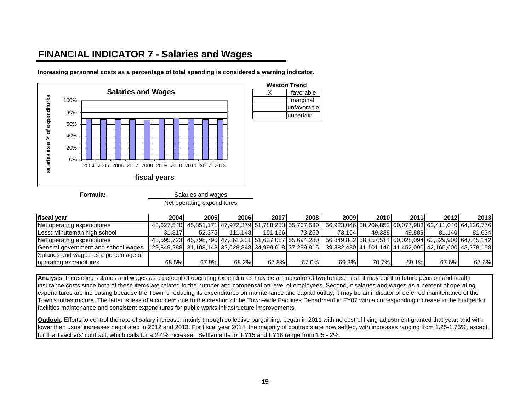# **FINANCIAL INDICATOR 7 - Salaries and Wages**

**Increasing personnel costs as a percentage of total spending is considered a warning indicator.**



**Formula:**

| Net operating expenditures |  |
|----------------------------|--|
|----------------------------|--|

| fiscal year                           | 2004   | 2005                                                   | 2006    | 2007     | <b>2008</b> | 2009                                                   | <b>2010</b> | 2011   | 2012                                                   | 2013   |
|---------------------------------------|--------|--------------------------------------------------------|---------|----------|-------------|--------------------------------------------------------|-------------|--------|--------------------------------------------------------|--------|
| Net operating expenditures            |        | 43,627,540 45,851,171 47,972,379 51,788,253 55,767,530 |         |          |             |                                                        |             |        | 56.923.046 58.206.852 60.077.983 62.411.040 64.126.776 |        |
| Less: Minuteman high school           | 31.817 | 52.3751                                                | 111.148 | 151.166L | 73.2501     | 73.164                                                 | 49.3381     | 49.889 | 81.140                                                 | 81.634 |
| Net operating expenditures            |        | 43,595,723 45,798,796 47,861,231 51,637,087 55,694,280 |         |          |             | 56.849.882 58.157.514 60.028.094 62.329.900 64.045.142 |             |        |                                                        |        |
| General government and school wages   |        | 29.849.288 31.108.148 32.628.848 34.999.618 37.299.815 |         |          |             |                                                        |             |        | 39.382.480 41.101.146 41.452.090 42.165.600 43.278.158 |        |
| Salaries and wages as a percentage of |        |                                                        |         |          |             |                                                        |             |        |                                                        |        |
| operating expenditures                | 68.5%  | 67.9%                                                  | 68.2%   | 67.8%    | 67.0%       | 69.3%                                                  | 70.7%       | 69.1%  | 67.6%                                                  | 67.6%  |

marginal unfavorable uncertain

**Analysis**: Increasing salaries and wages as a percent of operating expenditures may be an indicator of two trends: First, it may point to future pension and health insurance costs since both of these items are related to the number and compensation level of employees. Second, if salaries and wages as a percent of operating expenditures are increasing because the Town is reducing its expenditures on maintenance and capital outlay, it may be an indicator of deferred maintenance of the Town's infrastructure. The latter is less of a concern due to the creation of the Town-wide Facilities Department in FY07 with a corresponding increase in the budget for facilities maintenance and consistent expenditures for public works infrastructure improvements.

**Outlook**: Efforts to control the rate of salary increase, mainly through collective bargaining, began in 2011 with no cost of living adjustment granted that year, and with lower than usual increases negotiated in 2012 and 2013. For fiscal year 2014, the majority of contracts are now settled, with increases ranging from 1.25-1.75%, except for the Teachers' contract, which calls for a 2.4% increase. Settlements for FY15 and FY16 range from 1.5 - 2%.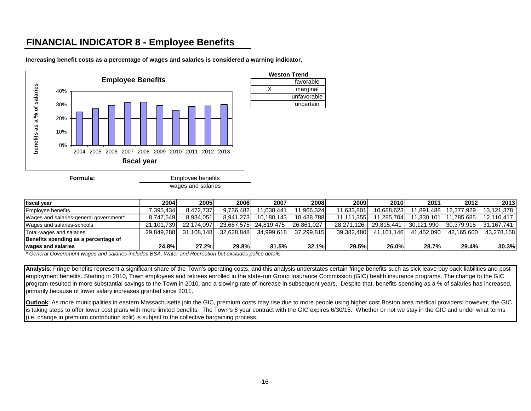# **FINANCIAL INDICATOR 8 - Employee Benefits**



**Increasing benefit costs as a percentage of wages and salaries is considered a warning indicator.**

| <b>Ifiscal vear</b>                       | 2004          | 2005                     | 2006       | 2007       | 2008       | 2009            | <b>2010</b> | 2011         | 2012       | 2013       |
|-------------------------------------------|---------------|--------------------------|------------|------------|------------|-----------------|-------------|--------------|------------|------------|
| <b>Employee benefits</b>                  | 395.434."     | 8.472.737                | 9.736.482  | 1.038.441  | 1.966.324  | 11.633.801      | 10.688.623  | .891<br>.488 | 12.377.929 | 13.121.378 |
| Wages and salaries-general government*    | 8.747.549     | 8.934.051                | 8.941.273  | 10.180.143 | 10.438.788 | .3551<br>11.111 | 11.285.704  | .330.101     | 11.785.685 | 12.110.417 |
| Wages and salaries-schools                | 21.101.739    | 22.174.097               | 23.687.575 | 24.819.475 | 26.861.027 | 28.271.126      | 29.815.441  | 30.121.990   | 30.379.915 | 31.167.741 |
| Total-wages and salaries                  | 29.849.288    | 31.108.148               | 32.628.848 | 34,999,618 | 37.299.815 | 39.382.480      | 41.101.146  | 41.452.090   | 42.165.600 | 43.278.158 |
| Benefits spending as a percentage of      |               |                          |            |            |            |                 |             |              |            |            |
| wages and salaries                        | <b>24.8%</b>  | 27.2%l                   | 29.8%      | 31.5%      | 32.1%      | 29.5%           | 26.0%       | 28.7%        | 29.4%      | 30.3%      |
| $\sim$ $\sim$<br>$\overline{\phantom{a}}$ | $- - - - - -$ | $\overline{\phantom{0}}$ |            |            |            |                 |             |              |            |            |

*\* General Government wages and salaries includes BSA, Water and Recreation but excludes police details*

**Analysis**: Fringe benefits represent a significant share of the Town's operating costs, and this analysis understates certain fringe benefits such as sick leave buy back liabilities and postemployment benefits. Starting in 2010, Town employees and retirees enrolled in the state-run Group Insurance Commission (GIC) health insurance programs. The change to the GIC program resulted in more substantial savings to the Town in 2010, and a slowing rate of increase in subsequent years. Despite that, benefits spending as a % of salaries has increased, primarily because of lower salary increases granted since 2011.

**Outlook**: As more municipalities in eastern Massachusetts join the GIC, premium costs may rise due to more people using higher cost Boston area medical providers; however, the GIC is taking steps to offer lower cost plans with more limited benefits. The Town's 6 year contract with the GIC expires 6/30/15. Whether or not we stay in the GIC and under what terms (i.e. change in premium contribution split) is subject to the collective bargaining process.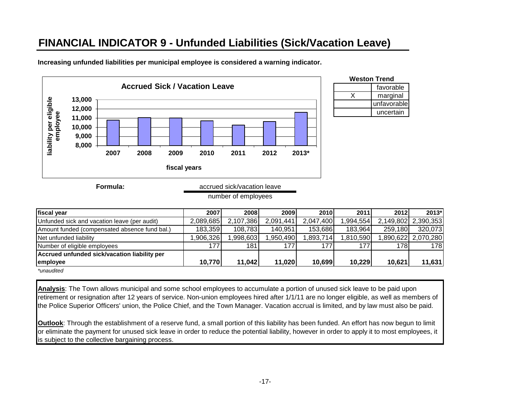# **FINANCIAL INDICATOR 9 - Unfunded Liabilities (Sick/Vacation Leave)**



**Increasing unfunded liabilities per municipal employee is considered a warning indicator.**

| Formula: | accrued sick/vacation leave |
|----------|-----------------------------|
|          | number of employees         |

| fiscal year                                   | 2007      | 2008      | 2009      | 2010      | 2011     | 2012    | 2013*                |
|-----------------------------------------------|-----------|-----------|-----------|-----------|----------|---------|----------------------|
| Unfunded sick and vacation leave (per audit)  | 2,089,685 | 2,107,386 | 2,091,441 | 2,047,400 | .994,554 |         | 2,149,802 2,390,353  |
| Amount funded (compensated absence fund bal.) | 183,359   | 108,783   | 140,951   | 153,686   | 183,964  | 259,180 | 320.073              |
| Net unfunded liability                        | .906,326  | .998,603  | ,950,490  | .893,714  | ,810,590 |         | 1,890,622  2,070,280 |
| Number of eligible employees                  | 177       | 181       | 177       | 1771      | 177      | 178I    | 178                  |
| Accrued unfunded sick/vacation liability per  |           |           |           |           |          |         |                      |
| employee                                      | 10,770    | 11,042    | 11,020    | 10,699    | 10,229   | 10,621  | 11,631               |
| <i>*unaudited</i>                             |           |           |           |           |          |         |                      |

favorable

unfavorable uncertain

**Analysis**: The Town allows municipal and some school employees to accumulate a portion of unused sick leave to be paid upon retirement or resignation after 12 years of service. Non-union employees hired after 1/1/11 are no longer eligible, as well as members of the Police Superior Officers' union, the Police Chief, and the Town Manager. Vacation accrual is limited, and by law must also be paid.

**Outlook**: Through the establishment of a reserve fund, a small portion of this liability has been funded. An effort has now begun to limit or eliminate the payment for unused sick leave in order to reduce the potential liability, however in order to apply it to most employees, it is subject to the collective bargaining process.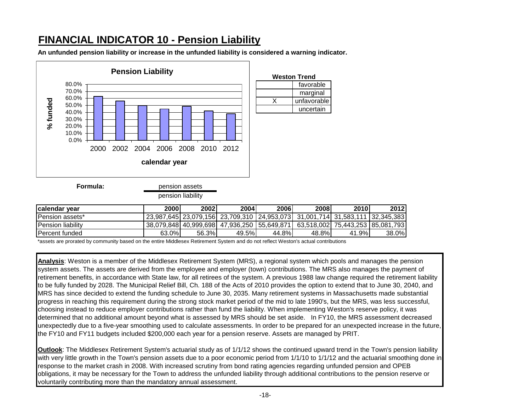# **FINANCIAL INDICATOR 10 - Pension Liability**

**An unfunded pension liability or increase in the unfunded liability is considered a warning indicator.**



| lcalendar vear          | 2000  | 2002  | 2004                                                                                  | 2006   | 2008  | <b>2010</b> | 2012  |
|-------------------------|-------|-------|---------------------------------------------------------------------------------------|--------|-------|-------------|-------|
| <b>IPension assets*</b> |       |       | 23,987,645  23,079,156  23,709,310   24,953,073  31,001,714  31,583,111   32,345,383  |        |       |             |       |
| Pension liability       |       |       | 38.079.848  40.999.698  47.936.250   55.649.871   63.518.002  75.443.253   85.081.793 |        |       |             |       |
| lPercent funded         | 63.0% | 56.3% | 49.5%l                                                                                | 44.8%l | 48.8% | .9%<br>41   | 38.0% |

\*assets are prorated by community based on the entire Middlesex Retirement System and do not reflect Weston's actual contributions

**Analysis**: Weston is a member of the Middlesex Retirement System (MRS), a regional system which pools and manages the pension system assets. The assets are derived from the employee and employer (town) contributions. The MRS also manages the payment of retirement benefits, in accordance with State law, for all retirees of the system. A previous 1988 law change required the retirement liability to be fully funded by 2028. The Municipal Relief Bill, Ch. 188 of the Acts of 2010 provides the option to extend that to June 30, 2040, and MRS has since decided to extend the funding schedule to June 30, 2035. Many retirement systems in Massachusetts made substantial progress in reaching this requirement during the strong stock market period of the mid to late 1990's, but the MRS, was less successful, choosing instead to reduce employer contributions rather than fund the liability. When implementing Weston's reserve policy, it was determined that no additional amount beyond what is assessed by MRS should be set aside. In FY10, the MRS assessment decreased unexpectedly due to a five-year smoothing used to calculate assessments. In order to be prepared for an unexpected increase in the future, the FY10 and FY11 budgets included \$200,000 each year for a pension reserve. Assets are managed by PRIT.

**Outlook**: The Middlesex Retirement System's actuarial study as of 1/1/12 shows the continued upward trend in the Town's pension liability with very little growth in the Town's pension assets due to a poor economic period from 1/1/10 to 1/1/12 and the actuarial smoothing done in response to the market crash in 2008. With increased scrutiny from bond rating agencies regarding unfunded pension and OPEB obligations, it may be necessary for the Town to address the unfunded liability through additional contributions to the pension reserve or voluntarily contributing more than the mandatory annual assessment.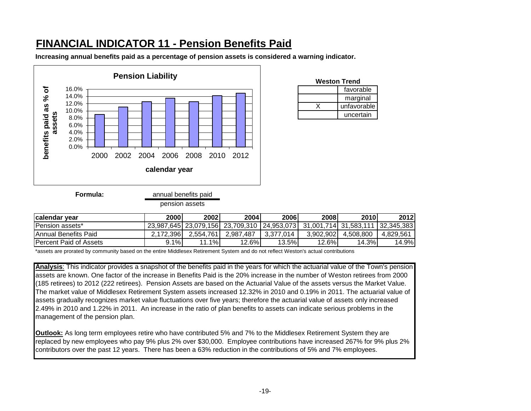# **FINANCIAL INDICATOR 11 - Pension Benefits Paid**

**Increasing annual benefits paid as a percentage of pension assets is considered a warning indicator.** 



| Weston Trend |             |  |  |  |  |  |  |
|--------------|-------------|--|--|--|--|--|--|
|              | favorable   |  |  |  |  |  |  |
|              | marginal    |  |  |  |  |  |  |
|              | unfavorable |  |  |  |  |  |  |
|              | uncertain   |  |  |  |  |  |  |

**Formula:**

annual benefits paid

pension assets

| calendar year           | 2000      | 2002      | <b>20041</b>                                                                          | 2006      | 2008      | 2010      | 2012      |
|-------------------------|-----------|-----------|---------------------------------------------------------------------------------------|-----------|-----------|-----------|-----------|
| IPension assets*        |           |           | 23,987,645  23,079,156  23,709,310   24,953,073   31,001,714  31,583,111   32,345,383 |           |           |           |           |
| IAnnual Benefits Paid   | 2.172.396 | 2,554,761 | 2.987.487                                                                             | 3.377.014 | 3.902.902 | 4.508.800 | 4.829.561 |
| IPercent Paid of Assets | 9.1%      | ו%1<br>11 | 12.6%                                                                                 | 13.5%     | 12.6%     | $14.3\%$  | 14.9%     |

\*assets are prorated by community based on the entire Middlesex Retirement System and do not reflect Weston's actual contributions

**Analysis**: This indicator provides a snapshot of the benefits paid in the years for which the actuarial value of the Town's pension assets are known. One factor of the increase in Benefits Paid is the 20% increase in the number of Weston retirees from 2000 (185 retirees) to 2012 (222 retirees). Pension Assets are based on the Actuarial Value of the assets versus the Market Value. The market value of Middlesex Retirement System assets increased 12.32% in 2010 and 0.19% in 2011. The actuarial value of assets gradually recognizes market value fluctuations over five years; therefore the actuarial value of assets only increased 2.49% in 2010 and 1.22% in 2011. An increase in the ratio of plan benefits to assets can indicate serious problems in the management of the pension plan.

**Outlook:** As long term employees retire who have contributed 5% and 7% to the Middlesex Retirement System they are replaced by new employees who pay 9% plus 2% over \$30,000. Employee contributions have increased 267% for 9% plus 2% contributors over the past 12 years. There has been a 63% reduction in the contributions of 5% and 7% employees.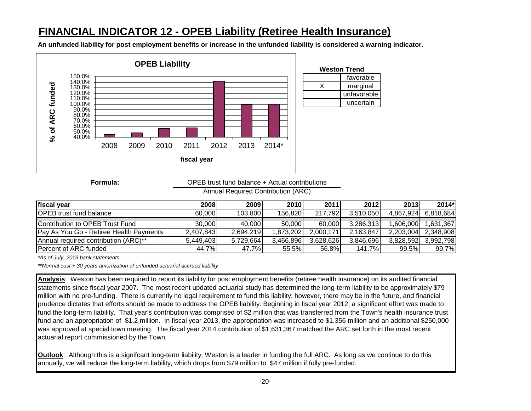# **FINANCIAL INDICATOR 12 - OPEB Liability (Retiree Health Insurance)**

**An unfunded liability for post employment benefits or increase in the unfunded liability is considered a warning indicator.**



**Formula:**

OPEB trust fund balance + Actual contributions

Annual Required Contribution (ARC)

| fiscal year                                    | 2008      | 2009      | 2010      | 2011      | <b>2012</b> | 2013      | $2014*$   |
|------------------------------------------------|-----------|-----------|-----------|-----------|-------------|-----------|-----------|
| <b>OPEB</b> trust fund balance                 | 60,000    | 103.800   | 156.820   | 217,792   | 3.510.050   | 4.867.924 | 6,818,684 |
| Contribution to OPEB Trust Fund                | 30,000    | 40.000    | 50,000    | 60,000    | 3,286,313   | 1.606.000 | ,631,367  |
| <b>Pay As You Go - Retiree Health Payments</b> | 2,407,843 | 2.694.219 | ,873,202  | 2.000.171 | 2,163,847   | 2.203.004 | 2,348,908 |
| <b>Annual required contribution (ARC)**</b>    | 5,449,403 | 5.729.664 | 3.466.896 | 3.628.626 | 3,846,696   | 3.828.592 | 3.992.798 |
| IPercent of ARC funded                         | 44.7%     | 47.7%I    | 55.5%l    | 56.8%     | 141.7%      | 99.5%     | 99.7%     |

*\*As of July, 2013 bank statements*

*\*\*Normal cost + 30 years amortization of unfunded actuarial accrued liability*

**Analysis**: Weston has been required to report its liability for post employment benefits (retiree health insurance) on its audited financial statements since fiscal year 2007. The most recent updated actuarial study has determined the long-term liability to be approximately \$79 million with no pre-funding. There is currently no legal requirement to fund this liability; however, there may be in the future, and financial prudence dictates that efforts should be made to address the OPEB liability. Beginning in fiscal year 2012, a significant effort was made to fund the long-term liability. That year's contribution was comprised of \$2 million that was transferred from the Town's health insurance trust fund and an appropriation of \$1.2 million. In fiscal year 2013, the appropriation was increased to \$1.356 million and an additional \$250,000 was approved at special town meeting. The fiscal year 2014 contribution of \$1,631,367 matched the ARC set forth in the most recent actuarial report commissioned by the Town.

**Outlook**: Although this is a signifcant long-term liability, Weston is a leader in funding the full ARC. As long as we continue to do this annually, we will reduce the long-term liability, which drops from \$79 million to \$47 million if fully pre-funded.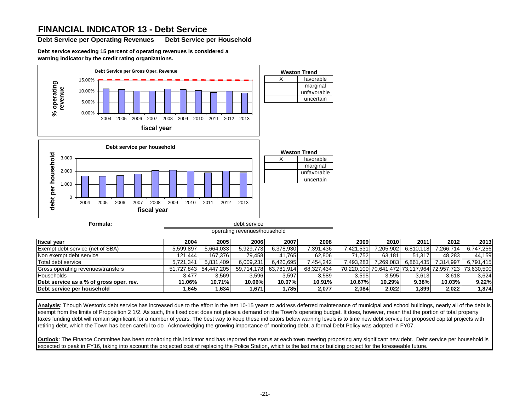### **FINANCIAL INDICATOR 13 - Debt Service**

**Debt Service per Operating Revenues Debt Service per Household**

**Debt service exceeding 15 percent of operating revenues is considered a warning indicator by the credit rating organizations.**



debt service operating revenues/household

| fiscal vear                             | 2004           | 2005       | 2006       | 2007       | 2008       | 2009      | 2010      | 2011      | 2012                                        | 2013       |
|-----------------------------------------|----------------|------------|------------|------------|------------|-----------|-----------|-----------|---------------------------------------------|------------|
| Exempt debt service (net of SBA)        | 5.599.897      | 5.664.033  | 5.929.773  | 6.378.930  | 7,391,436  | 421.531.^ | 7,205,902 | 6,810,118 | 7,266,714                                   | 6,747,256  |
| Non exempt debt service                 | 121.444        | 167.376    | 79.458     | 41.765     | 62.806     | 71.7521   | 63.181    | 51.317    | 48.283                                      | 44.159     |
| Total debt service                      | 341.،<br>5.721 | 5,831,409  | 6.009.231  | 6.420.695  | 7.454.2421 | 7,493,283 | 7,269,083 | 6,861,435 | 7,314,997                                   | 6,791,415  |
| Gross operating revenues/transfers      | 51.727.843     | 54.447.205 | 59.714.178 | 63.781.914 | 68.327.434 |           |           |           | 70,220,100 70,641,472 73,117,964 72,957,723 | 73.630.500 |
| <b>Households</b>                       | 3.477          | 3,569      | 3,596      | 3,597      | 3,589      | 3,595     | 3,595     | 3,613     | 3,618                                       | 3.624      |
| Debt service as a % of gross oper. rev. | 11.06%         | 10.71%     | 10.06%     | 10.07%     | 10.91%     | 10.67%    | 10.29%    | 9.38%     | $10.03\%$                                   | 9.22%      |
| <b>IDebt service per household</b>      | .645           | .634       | 1,671      | .785       | 2,077      | 2,084     | 2,022     | 1,899     | 2,022                                       | 1,874      |

**Analysis**: Though Weston's debt service has increased due to the effort in the last 10-15 years to address deferred maintenance of municipal and school buildings, nearly all of the debt is exempt from the limits of Proposition 2 1/2. As such, this fixed cost does not place a demand on the Town's operating budget. It does, however, mean that the portion of total property taxes funding debt will remain significant for a number of years. The best way to keep these indicators below warning levels is to time new debt service for proposed capital projects with retiring debt, which the Town has been careful to do*.* Acknowledging the growing importance of monitoring debt, a formal Debt Policy was adopted in FY07.

**Outlook**: The Finance Committee has been monitoring this indicator and has reported the status at each town meeting proposing any significant new debt. Debt service per household is expected to peak in FY16, taking into account the projected cost of replacing the Police Station, which is the last major building project for the foreseeable future.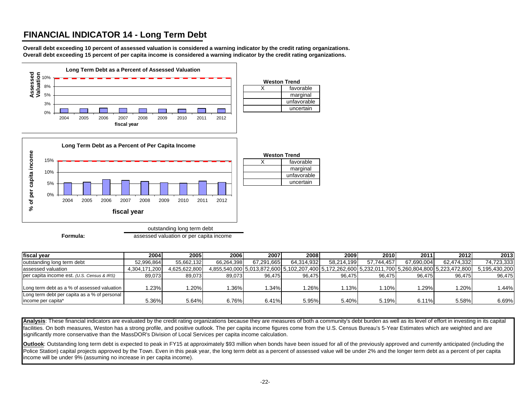## **FINANCIAL INDICATOR 14 - Long Term Debt**

**Overall debt exceeding 10 percent of assessed valuation is considered a warning indicator by the credit rating organizations. Overall debt exceeding 15 percent of per capita income is considered a warning indicator by the credit rating organizations.**



| fiscal vear                                  | 2004          | 2005 l        | 2006       | 2007       | 2008       | 2009       | 2010       | 2011       | 2012                                                                                              | 2013          |
|----------------------------------------------|---------------|---------------|------------|------------|------------|------------|------------|------------|---------------------------------------------------------------------------------------------------|---------------|
| outstanding long term debt                   | 52.996.864    | 55.662.132    | 66.264.398 | 67.291.665 | 64.314.932 | 58.214.199 | 57.744.457 | 67.690.004 | 62.474.332                                                                                        | 74.723.333    |
| assessed valuation                           | 4,304,171,200 | 4,625,622,800 |            |            |            |            |            |            | 4,855,540,000 5,013,872,600 5,102,207,400 5,172,262,600 5,232,011,700 5,260,804,800 5,223,472,800 | 5.195.430.200 |
| per capita income est. (U.S. Census & IRS)   | 89,073        | 89.073        | 89.073     | 96.475     | 96.475     | 96.475     | 96.475     | 96.475     | 96.475                                                                                            | 96.475        |
|                                              |               |               |            |            |            |            |            |            |                                                                                                   |               |
| Long term debt as a % of assessed valuation  | 1.23%         | .20%          | $.36\%$    | .34%       | .26%       | .13%       | .10%       | .29%       | $20\%$                                                                                            | 1.44%         |
| Long term debt per capita as a % of personal |               |               |            |            |            |            |            |            |                                                                                                   |               |
| income per capita*                           | 5.36%         | 5.64%         | 6.76%      | 6.41%      | 5.95%      | 5.40%      | 5.19%      | 6.11%      | 5.58%                                                                                             | 6.69%         |

Analysis: These financial indicators are evaluated by the credit rating organizations because they are measures of both a community's debt burden as well as its level of effort in investing in its capital facilities. On both measures, Weston has a strong profile, and positive outlook. The per capita income figures come from the U.S. Census Bureau's 5-Year Estimates which are weighted and are significantly more conservative than the MassDOR's Division of Local Services per capita income calculation.

**Outlook**: Outstanding long term debt is expected to peak in FY15 at approximately \$93 million when bonds have been issued for all of the previously approved and currently anticipated (including the Police Station) capital projects approved by the Town. Even in this peak year, the long term debt as a percent of assessed value will be under 2% and the longer term debt as a percent of per capita income will be under 9% (assuming no increase in per capita income).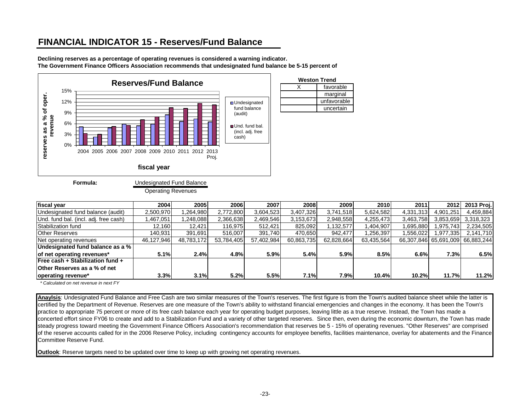## **FINANCIAL INDICATOR 15 - Reserves/Fund Balance**

**Declining reserves as a percentage of operating revenues is considered a warning indicator. The Government Finance Officers Association recommends that undesignated fund balance be 5-15 percent of** 



**Formula:**

Undesignated Fund Balance

Operating Revenues

| fiscal year                           | 2004       | 2005       | 2006       | 2007       | 2008       | 2009       | 2010       | 2011      | 2012                             | 2013 Proj. |
|---------------------------------------|------------|------------|------------|------------|------------|------------|------------|-----------|----------------------------------|------------|
| Undesignated fund balance (audit)     | 2,500,970  | ,264,980   | 2,772,800  | 3,604,523  | 3,407,326  | 3.741.518  | 5,624,582  | 4,331,313 | 4,901,251                        | 4,459,884  |
| Und. fund bal. (incl. adj. free cash) | ,467,051   | ,248,088   | 2,366,638  | 2,469,546  | 3,153,673  | 2,948,558  | 4,255,473  | 3,463,758 | 3,853,659                        | 3,318,323  |
| Stabilization fund                    | 12,160     | 12,421     | 116,975    | 512,421    | 825,092    | 1,132,577  | 1,404,907  | 1,695,880 | 975,743                          | 2,234,505  |
| <b>Other Reserves</b>                 | 140.931    | 391.691    | 516,007    | 391.740    | 470,650    | 942,477    | .256,397   | 1,556,022 | .977,335                         | 2,141,710  |
| Net operating revenues                | 46,127,946 | 48,783,172 | 53,784,405 | 57,402,984 | 60,863,735 | 62,828,664 | 63,435,564 |           | 66,307,846 65,691,009 66,883,244 |            |
| Undesignated fund balance as a %      |            |            |            |            |            |            |            |           |                                  |            |
| of net operating revenues*            | 5.1%       | 2.4%       | 4.8%       | 5.9%       | 5.4%       | 5.9%       | 8.5%       | 6.6%      | 7.3%                             | 6.5%       |
| Free cash + Stabilization fund +      |            |            |            |            |            |            |            |           |                                  |            |
| <b>Other Reserves as a % of net</b>   |            |            |            |            |            |            |            |           |                                  |            |
| operating revenue*                    | 3.3%       | 3.1%       | 5.2%       | 5.5%       | 7.1%       | 7.9%       | 10.4%      | 10.2%     | 11.7%                            | 11.2%      |

 *\* Calculated on net revenue in next FY*

**Anaylsis**: Undesignated Fund Balance and Free Cash are two similar measures of the Town's reserves. The first figure is from the Town's audited balance sheet while the latter is certified by the Department of Revenue. Reserves are one measure of the Town's ability to withstand financial emergencies and changes in the economy. It has been the Town's practice to appropriate 75 percent or more of its free cash balance each year for operating budget purposes, leaving little as a true reserve. Instead, the Town has made a concerted effort since FY06 to create and add to a Stabilization Fund and a variety of other targeted reserves. Since then, even during the economic downturn, the Town has made steady progress toward meeting the Government Finance Officers Association's recommendation that reserves be 5 - 15% of operating revenues. "Other Reserves" are comprised of the reserve accounts called for in the 2006 Reserve Policy, including contingency accounts for employee benefits, facilities maintenance, overlay for abatements and the Finance Committee Reserve Fund.

**Outlook**: Reserve targets need to be updated over time to keep up with growing net operating revenues.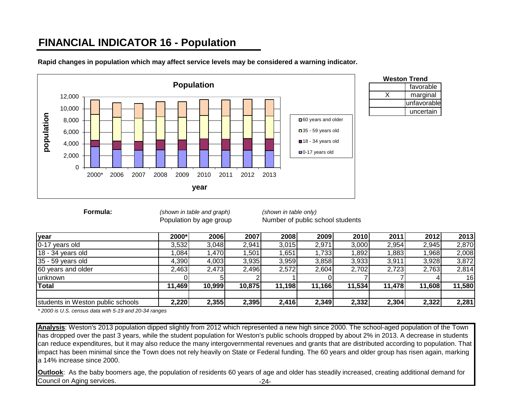# **FINANCIAL INDICATOR 16 - Population**



**Rapid changes in population which may affect service levels may be considered a warning indicator.**

| <b>Weston Trend</b> |             |  |  |  |  |  |  |
|---------------------|-------------|--|--|--|--|--|--|
|                     | favorable   |  |  |  |  |  |  |
|                     | marginal    |  |  |  |  |  |  |
|                     | unfavorable |  |  |  |  |  |  |
|                     | uncertain   |  |  |  |  |  |  |

**Formula:** *(shown in table and graph) (shown in table only)*

Population by age group Number of public school students

| year                              | 2000*  | 2006   | 2007   | 2008   | 2009   | 2010   | 2011   | 2012   | 2013   |
|-----------------------------------|--------|--------|--------|--------|--------|--------|--------|--------|--------|
| 0-17 years old                    | 3,532  | 3,048  | 2,941  | 3,015  | 2,971  | 3,000  | 2,954  | 2,945  | 2,870  |
| $18 - 34$ years old               | 1,084  | l,470  | ,501   | ,651   | 1,733  | 1,892  | ,883   | ,968   | 2,008  |
| 35 - 59 years old                 | 4,390  | 4,003  | 3,935  | 3,959  | 3,858  | 3,933  | 3,911  | 3,928  | 3,872  |
| 60 years and older                | 2,463  | 2,473  | 2,496  | 2,572  | 2,604  | 2,702  | 2,723  | 2,763  | 2,814  |
| <b>unknown</b>                    |        |        |        |        |        |        |        |        | 16     |
| <b>Total</b>                      | 11,469 | 10,999 | 10,875 | 11,198 | 11,166 | 11,534 | 11,478 | 11,608 | 11,580 |
| students in Weston public schools | 2,220  | 2,355  | 2,395  | 2,416  | 2,349  | 2,332  | 2,304  | 2,322  | 2,281  |

*\* 2000 is U.S. census data with 5-19 and 20-34 ranges*

**Analysis**: Weston's 2013 population dipped slightly from 2012 which represented a new high since 2000. The school-aged population of the Town has dropped over the past 3 years, while the student population for Weston's public schools dropped by about 2% in 2013. A decrease in students can reduce expenditures, but it may also reduce the many intergovernmental revenues and grants that are distributed according to population. That impact has been minimal since the Town does not rely heavily on State or Federal funding. The 60 years and older group has risen again, marking a 14% increase since 2000.

-24- **Outlook**: As the baby boomers age, the population of residents 60 years of age and older has steadily increased, creating additional demand for Council on Aging services.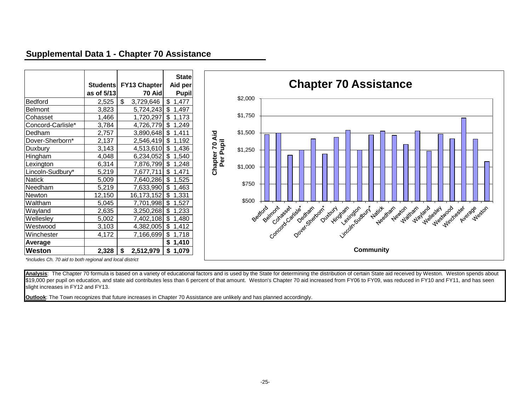### **Supplemental Data 1 - Chapter 70 Assistance**

|                   | <b>Students</b> | FY13 Chapter    | <b>State</b><br>Aid per |
|-------------------|-----------------|-----------------|-------------------------|
|                   | as of 5/13      | 70 Aid          | <b>Pupil</b>            |
| Bedford           | 2,525           | \$<br>3,729,646 | \$<br>1,477             |
| <b>Belmont</b>    | 3,823           | 5,724,243       | \$<br>1,497             |
| Cohasset          | 1,466           | 1,720,297       | \$<br>1,173             |
| Concord-Carlisle* | 3,784           | 4,726,779       | \$<br>1,249             |
| Dedham            | 2,757           | 3,890,648       | \$<br>1,411             |
| Dover-Sherborn*   | 2,137           | 2,546,419       | \$<br>1,192             |
| Duxbury           | 3,143           | 4,513,610       | \$<br>1,436             |
| Hingham           | 4,048           | 6,234,052       | \$<br>1,540             |
| Lexington         | 6,314           | 7,876,799       | \$<br>1,248             |
| Lincoln-Sudbury*  | 5,219           | 7,677,711       | \$<br>1,471             |
| <b>Natick</b>     | 5,009           | 7,640,286       | \$<br>1,525             |
| Needham           | 5,219           | 7,633,990       | \$<br>1,463             |
| Newton            | 12,150          | 16,173,152      | \$<br>1,331             |
| Waltham           | 5,045           | 7,701,998       | \$<br>1,527             |
| Wayland           | 2,635           | 3,250,268       | \$<br>1,233             |
| Wellesley         | 5,002           | 7,402,108       | $\frac{1}{2}$<br>1,480  |
| Westwood          | 3,103           | 4,382,005       | \$<br>1,412             |
| Winchester        | 4,172           | 7,166,699       | \$<br>1,718             |
| Average           |                 |                 | \$<br>1,410             |
| Weston            | 2,328           | \$<br>2,512,979 | \$<br>1,079             |



*\*includes Ch. 70 aid to both regional and local district* 

Analysis: The Chapter 70 formula is based on a variety of educational factors and is used by the State for determining the distribution of certain State aid received by Weston. Weston spends about \$19,000 per pupil on education, and state aid contributes less than 6 percent of that amount. Weston's Chapter 70 aid increased from FY06 to FY09, was reduced in FY10 and FY11, and has seen slight increases in FY12 and FY13.

**Outlook**: The Town recognizes that future increases in Chapter 70 Assistance are unlikely and has planned accordingly.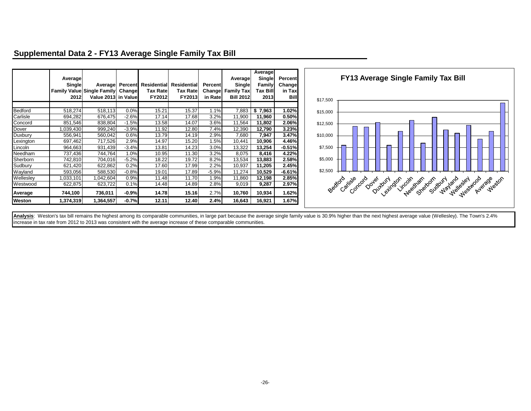|           | Average<br>Single<br>2012 | Average<br>Family Value Single Family Change<br>Value 2013 in Value |         | <b>Tax Rate</b><br>FY2012 | Percent Residential Residential<br>Tax Rate<br><b>FY2013</b> | Percent<br>Change<br>in Rate | Average<br>Single<br><b>Family Tax</b><br><b>Bill 2012</b> | Average<br>Single<br>Family<br>Tax Bill<br>2013 | Percent<br><b>Changel</b><br>in Tax<br><b>Bill</b> | \$17,500 | <b>FY13 Average Single Family Tax Bill</b>                              |  |  |
|-----------|---------------------------|---------------------------------------------------------------------|---------|---------------------------|--------------------------------------------------------------|------------------------------|------------------------------------------------------------|-------------------------------------------------|----------------------------------------------------|----------|-------------------------------------------------------------------------|--|--|
|           |                           |                                                                     |         |                           |                                                              |                              |                                                            |                                                 |                                                    |          |                                                                         |  |  |
| Bedford   | 518,274                   | 518,113                                                             | 0.0%    | 15.21                     | 15.37                                                        | 1.1%                         | 7,883                                                      | \$7,963                                         | 1.02%                                              | \$15,000 |                                                                         |  |  |
| Carlisle  | 694,282                   | 676,475                                                             | $-2.6%$ | 17.14                     | 17.68                                                        | 3.2%                         | 11,900                                                     | 11,960                                          | 0.50%                                              |          |                                                                         |  |  |
| Concord   | 851,546                   | 838,804                                                             | $-1.5%$ | 13.58                     | 14.07                                                        | 3.6%                         | 11,564                                                     | 11,802                                          | 2.06%                                              | \$12,500 |                                                                         |  |  |
| Dover     | 1,039,430                 | 999,240                                                             | $-3.9%$ | 11.92                     | 12.80                                                        | 7.4%                         | 12,390                                                     | 12,790                                          | 3.23%                                              |          |                                                                         |  |  |
| Duxbury   | 556,941                   | 560,042                                                             | 0.6%    | 13.79                     | 14.19                                                        | 2.9%                         | 7,680                                                      | 7,947                                           | 3.47%                                              | \$10,000 |                                                                         |  |  |
| Lexington | 697,462                   | 717,526                                                             | 2.9%    | 14.97                     | 15.20                                                        | 1.5%                         | 10,441                                                     | 10,906                                          | 4.46%                                              |          |                                                                         |  |  |
| Lincoln   | 964,663                   | 931,439                                                             | $-3.4%$ | 13.81                     | 14.23                                                        | 3.0%                         | 13,322                                                     | 13,254                                          | $-0.51%$                                           | \$7,500  |                                                                         |  |  |
| Needham   | 737,436                   | 744,764                                                             | 1.0%    | 10.95                     | 11.30                                                        | 3.2%                         | 8,075                                                      | 8,416                                           | 4.22%                                              |          |                                                                         |  |  |
| Sherborn  | 742,810                   | 704,016                                                             | $-5.2%$ | 18.22                     | 19.72                                                        | 8.2%                         | 13,534                                                     | 13,883                                          | 2.58%                                              | \$5,000  |                                                                         |  |  |
| Sudbury   | 621,420                   | 622,862                                                             | 0.2%    | 17.60                     | 17.99                                                        | 2.2%                         | 10,937                                                     | 11,205                                          | 2.45%                                              |          |                                                                         |  |  |
| Wayland   | 593,056                   | 588,530                                                             | $-0.8%$ | 19.01                     | 17.89                                                        | $-5.9%$                      | 11,274                                                     | 10,529                                          | $-6.61%$                                           | \$2,500  |                                                                         |  |  |
| Wellesley | 033,101                   | ,042,604                                                            | 0.9%    | 11.48                     | 11.70                                                        | 1.9%                         | 11,860                                                     | 12,198                                          | 2.85%                                              |          |                                                                         |  |  |
| Westwood  | 622,875                   | 623,722                                                             | 0.1%    | 14.48                     | 14.89                                                        | 2.8%                         | 9,019                                                      | 9,287                                           | 2.97%                                              |          | Bedioro<br>Caritale<br>Concord<br>Average<br>Dover<br>Dutoury<br>Weston |  |  |
| Average   | 744,100                   | 736,011                                                             | $-0.9%$ | 14.78                     | 15.16                                                        | 2.7%                         | 10,760                                                     | 10,934                                          | 1.62%                                              |          | ethological<br>Sherborn bound<br>Westwood<br>Needram<br>Wayland Galey   |  |  |
| Weston    | 1,374,319                 | 1,364,557                                                           | $-0.7%$ | 12.11                     | 12.40                                                        | 2.4%                         | 16,643                                                     | 16,921                                          | 1.67%                                              |          |                                                                         |  |  |

### **Supplemental Data 2 - FY13 Average Single Family Tax Bill**

Analysis: Weston's tax bill remains the highest among its comparable communities, in large part because the average single family value is 30.9% higher than the next highest average value (Wellesley). The Town's 2.4% increase in tax rate from 2012 to 2013 was consistent with the average increase of these comparable communities.